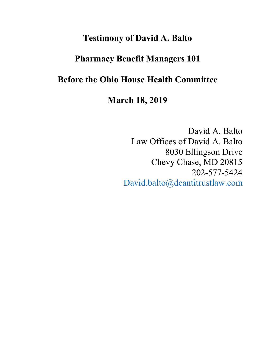# **Testimony of David A. Balto**

# **Pharmacy Benefit Managers 101**

# **Before the Ohio House Health Committee**

**March 18, 2019** 

David A. Balto Law Offices of David A. Balto 8030 Ellingson Drive Chevy Chase, MD 20815 202-577-5424 David.balto@dcantitrustlaw.com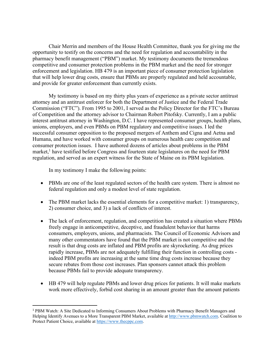Chair Merrin and members of the House Health Committee, thank you for giving me the opportunity to testify on the concerns and the need for regulation and accountability in the pharmacy benefit management ("PBM") market. My testimony documents the tremendous competitive and consumer protection problems in the PBM market and the need for stronger enforcement and legislation. HB 479 is an important piece of consumer protection legislation that will help lower drug costs, ensure that PBMs are properly regulated and held accountable, and provide for greater enforcement than currently exists.

My testimony is based on my thirty plus years of experience as a private sector antitrust attorney and an antitrust enforcer for both the Department of Justice and the Federal Trade Commission ("FTC"). From 1995 to 2001, I served as the Policy Director for the FTC's Bureau of Competition and the attorney advisor to Chairman Robert Pitofsky. Currently, I am a public interest antitrust attorney in Washington, D.C. I have represented consumer groups, health plans, unions, employers, and even PBMs on PBM regulatory and competitive issues. I led the successful consumer opposition to the proposed mergers of Anthem and Cigna and Aetna and Humana, and have worked with consumer groups on numerous health care competition and consumer protection issues. I have authored dozens of articles about problems in the PBM market,<sup>1</sup> have testified before Congress and fourteen state legislatures on the need for PBM regulation, and served as an expert witness for the State of Maine on its PBM legislation.

In my testimony I make the following points:

- PBMs are one of the least regulated sectors of the health care system. There is almost no federal regulation and only a modest level of state regulation.
- The PBM market lacks the essential elements for a competitive market: 1) transparency, 2) consumer choice, and 3) a lack of conflicts of interest.
- The lack of enforcement, regulation, and competition has created a situation where PBMs freely engage in anticompetitive, deceptive, and fraudulent behavior that harms consumers, employers, unions, and pharmacists. The Council of Economic Advisors and many other commentators have found that the PBM market is not competitive and the result is that drug costs are inflated and PBM profits are skyrocketing. As drug prices rapidly increase, PBMs are not adequately fulfilling their function in controlling costs indeed PBM profits are increasing at the same time drug costs increase because they secure rebates from those cost increases. Plan sponsors cannot attack this problem because PBMs fail to provide adequate transparency.
- HB 479 will help regulate PBMs and lower drug prices for patients. It will make markets work more effectively, forbid cost sharing in an amount greater than the amount patients

 <sup>1</sup> PBM Watch: A Site Dedicated to Informing Consumers About Problems with Pharmacy Benefit Managers and Helping Identify Avenues to a More Transparent PBM Market, available at http://www.pbmwatch.com. Coalition to Protect Patient Choice, available at https://www.thecppc.com.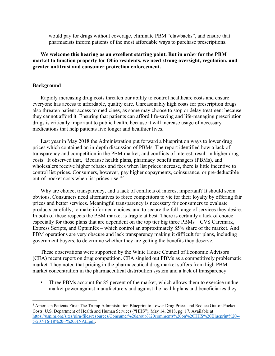would pay for drugs without coverage, eliminate PBM "clawbacks", and ensure that pharmacists inform patients of the most affordable ways to purchase prescriptions.

## **We welcome this hearing as an excellent starting point. But in order for the PBM market to function properly for Ohio residents, we need strong oversight, regulation, and greater antitrust and consumer protection enforcement.**

#### **Background**

Rapidly increasing drug costs threaten our ability to control healthcare costs and ensure everyone has access to affordable, quality care. Unreasonably high costs for prescription drugs also threaten patient access to medicines, as some may choose to stop or delay treatment because they cannot afford it. Ensuring that patients can afford life-saving and life-managing prescription drugs is critically important to public health, because it will increase usage of necessary medications that help patients live longer and healthier lives.

Last year in May 2018 the Administration put forward a blueprint on ways to lower drug prices which contained an in-depth discussion of PBMs. The report identified how a lack of transparency and competition in the PBM market, and conflicts of interest, result in higher drug costs. It observed that, "Because health plans, pharmacy benefit managers (PBMs), and wholesalers receive higher rebates and fees when list prices increase, there is little incentive to control list prices. Consumers, however, pay higher copayments, coinsurance, or pre-deductible out-of-pocket costs when list prices rise."2

Why are choice, transparency, and a lack of conflicts of interest important? It should seem obvious. Consumers need alternatives to force competitors to vie for their loyalty by offering fair prices and better services. Meaningful transparency is necessary for consumers to evaluate products carefully, to make informed choices, and to secure the full range of services they desire. In both of these respects the PBM market is fragile at best. There is certainly a lack of choice especially for those plans that are dependent on the top tier big three PBMs – CVS Caremark, Express Scripts, and OptumRx – which control an approximately 85% share of the market. And PBM operations are very obscure and lack transparency making it difficult for plans, including government buyers, to determine whether they are getting the benefits they deserve.

These observations were supported by the White House Council of Economic Advisors (CEA) recent report on drug competition. CEA singled out PBMs as a competitively problematic market. They noted that pricing in the pharmaceutical drug market suffers from high PBM market concentration in the pharmaceutical distribution system and a lack of transparency:

• Three PBMs account for 85 percent of the market, which allows them to exercise undue market power against manufacturers and against the health plans and beneficiaries they

 <sup>2</sup> American Patients First: The Trump Administration Blueprint to Lower Drug Prices and Reduce Out-of-Pocket Costs, U.S. Department of Health and Human Services ("HHS"), May 14, 2018, pg. 17. Available at https://uspirg.org/sites/pirg/files/resources/Consumer%20group%20comments%20on%20HHS%20Blueprint%20-- %207-16-18%20--%20FINAL.pdf.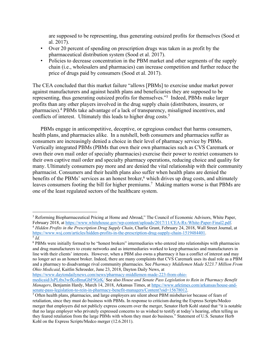are supposed to be representing, thus generating outsized profits for themselves (Sood et al. 2017).

- Over 20 percent of spending on prescription drugs was taken in as profit by the pharmaceutical distribution system (Sood et al. 2017).
- Policies to decrease concentration in the PBM market and other segments of the supply chain (i.e., wholesalers and pharmacies) can increase competition and further reduce the price of drugs paid by consumers (Sood et al. 2017).

The CEA concluded that this market failure "allows [PBMs] to exercise undue market power against manufacturers and against health plans and beneficiaries they are supposed to be representing, thus generating outsized profits for themselves."3 Indeed, PBMs make larger profits than any other players involved in the drug supply chain (distributors, insurers, or pharmacies).4 PBMs take advantage of a lack of transparency, misaligned incentives, and conflicts of interest. Ultimately this leads to higher drug costs.<sup>5</sup>

PBMs engage in anticompetitive, deceptive, or egregious conduct that harms consumers, health plans, and pharmacies alike. In a nutshell, both consumers and pharmacies suffer as consumers are increasingly denied a choice in their level of pharmacy service by PBMs. Vertically integrated PBMs (PBMs that own their own pharmacies such as CVS Caremark or own their own mail order of specialty pharmacies) exercise their power to restrict consumers to their own captive mail order and specialty pharmacy operations, reducing choice and quality for many. Ultimately consumers pay more and are denied the vital relationship with their community pharmacist. Consumers and their health plans also suffer when health plans are denied the benefits of the PBMs' services as an honest broker,<sup>6</sup> which drives up drug costs, and ultimately leaves consumers footing the bill for higher premiums.<sup>7</sup> Making matters worse is that PBMs are one of the least regulated sectors of the healthcare system.

https://www.daytondailynews.com/news/pharmacy-middlemen-made-223-from-ohiomedicaid/JsPLtbs3wfKoBmaGbF9GrK/ See also *House and Senate Pass Legislation to Rein in Pharmacy Benefit Managers*, Benjamin Hardy, March 14, 2018, Arkansas Times, at https://www.arktimes.com/arkansas/house-andsenate-pass-legislation-to-rein-in-pharmacy-benefit-managers/Content?oid=15678012.

 $\overline{a}$ <sup>3</sup> Reforming Biopharmaceutical Pricing at Home and Abroad," The Council of Economic Advisors, White Paper, February 2018, at https://www.whitehouse.gov/wp-content/uploads/2017/11/CEA-Rx-White-Paper-Final2.pdf.

<sup>&</sup>lt;sup>4</sup> Hidden Profits in the Prescription Drug Supply Chain, Charlie Grant, February 24, 2018, Wall Street Journal, at https://www.wsj.com/articles/hidden-profits-in-the-prescription-drug-supply-chain-1519484401. 5 *Id.*

<sup>6</sup> PBMs were initially formed to be "honest brokers" intermediaries who entered into relationships with pharmacies and drug manufacturers to create networks and as intermediaries worked to keep pharmacies and manufacturers in line with their clients' interests. However, when a PBM also owns a pharmacy it has a conflict of interest and may no longer act as an honest broker. Indeed, there are many complaints that CVS Caremark uses its dual role as a PBM and a pharmacy to disadvantage rival community pharmacies. See *Pharmacy Middlemen Made \$223.7 Million From Ohio Medicaid*, Kaitlin Schroeder, June 23, 2018, Dayton Daily News, at

<sup>7</sup> Often health plans, pharmacies, and large employers are silent about PBM misbehavior because of fears of retaliation, since they must do business with PBMs. In response to criticism during the Express Scripts/Medco merger that employers did not publicly express concern over the merger, Senator Herb Kohl stated that "it is notable that no large employer who privately expressed concerns to us wished to testify at today's hearing, often telling us they feared retaliation from the large PBMs with whom they must do business." Statement of U.S. Senator Herb Kohl on the Express Scripts/Medco merger (12.6.2011).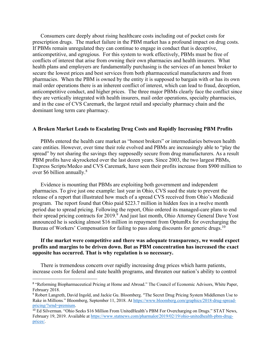Consumers care deeply about rising healthcare costs including out of pocket costs for prescription drugs. The market failure in the PBM market has a profound impact on drug costs. If PBMs remain unregulated they can continue to engage in conduct that is deceptive, anticompetitive, and egregious. For this system to work effectively, PBMs must be free of conflicts of interest that arise from owning their own pharmacies and health insurers. What health plans and employers are fundamentally purchasing is the services of an honest broker to secure the lowest prices and best services from both pharmaceutical manufacturers and from pharmacies. When the PBM is owned by the entity it is supposed to bargain with or has its own mail order operations there is an inherent conflict of interest, which can lead to fraud, deception, anticompetitive conduct, and higher prices. The three major PBMs clearly face the conflict since they are vertically integrated with health insurers, mail order operations, specialty pharmacies, and in the case of CVS Caremark, the largest retail and specialty pharmacy chain and the dominant long term care pharmacy.

### **A Broken Market Leads to Escalating Drug Costs and Rapidly Increasing PBM Profits**

PBMs entered the health care market as "honest brokers" or intermediaries between health care entities. However, over time their role evolved and PBMs are increasingly able to "play the spread" by not sharing the savings they supposedly secure from drug manufacturers. As a result PBM profits have skyrocketed over the last dozen years. Since 2003, the two largest PBMs, Express Scripts/Medco and CVS Caremark, have seen their profits increase from \$900 million to over \$6 billion annually.<sup>8</sup>

Evidence is mounting that PBMs are exploiting both government and independent pharmacies. To give just one example: last year in Ohio, CVS sued the state to prevent the release of a report that illustrated how much of a spread CVS received from Ohio's Medicaid program. The report found that Ohio paid \$223.7 million in hidden fees in a twelve month period due to spread pricing. Following the report, Ohio ordered its managed-care plans to end their spread pricing contracts for 2019.<sup>9</sup> And just last month, Ohio Attorney General Dave Yost announced he is seeking almost \$16 million in repayment from OptumRx for overcharging the Bureau of Workers' Compensation for failing to pass along discounts for generic drugs.<sup>10</sup>

### **If the market were competitive and there was adequate transparency, we would expect profits and margins to be driven down. But as PBM concentration has increased the exact opposite has occurred. That is why regulation is so necessary.**

There is tremendous concern over rapidly increasing drug prices which harm patients, increase costs for federal and state health programs, and threaten our nation's ability to control

<sup>&</sup>lt;sup>8</sup> "Reforming Biopharmaceutical Pricing at Home and Abroad." The Council of Economic Advisors, White Paper, February 2018.

<sup>9</sup> Robert Langreth, David Ingold, and Jackie Gu. Bloomberg. "The Secret Drug Pricing System Middlemen Use to Rake in Millions*.*" Bloomberg, September 11, 2018. At https://www.bloomberg.com/graphics/2018-drug-spreadpricing/?srnd=premium.

<sup>10</sup> Ed Silverman. "Ohio Seeks \$16 Million From UnitedHealth's PBM For Overcharging on Drugs." STAT News, February 19, 2019. Available at https://www.statnews.com/pharmalot/2019/02/19/ohio-unitedhealth-pbm-drugprices/.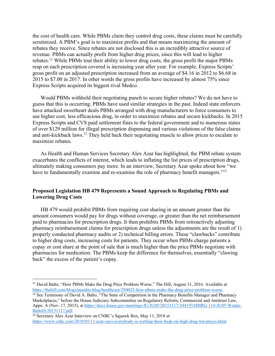the cost of health care. While PBMs claim they control drug costs, these claims must be carefully scrutinized. A PBM's goal is to maximize profits and that means maximizing the amount of rebates they receive. Since rebates are not disclosed this is an incredibly attractive source of revenue. PBMs can actually profit from higher drug prices, since this will lead to higher rebates.11 While PBMs tout their ability to lower drug costs, the gross profit the major PBMs reap on each prescription covered is increasing year after year. For example, Express Scripts' gross profit on an adjusted prescription increased from an average of \$4.16 in 2012 to \$6.68 in 2015 to \$7.00 in 2017. In other words the gross profits have increased by almost 75% since Express Scripts acquired its biggest rival Medco.

Would PBMs withhold their negotiating punch to secure higher rebates? We do not have to guess that this is occurring. PBMs have used similar strategies in the past. Indeed state enforcers have attacked sweetheart deals PBMs arranged with drug manufacturers to force consumers to use higher cost, less efficacious drug, in order to maximize rebates and secure kickbacks. In 2015 Express Scripts and CVS paid settlement fines to the federal government and to numerous states of over \$129 million for illegal prescription dispensing and various violations of the false claims and anti-kickback laws.12 They held back their negotiating muscle to allow prices to escalate to maximize rebates.

As Health and Human Services Secretary Alex Azar has highlighted, the PBM rebate system exacerbates the conflicts of interest, which leads to inflating the list prices of prescription drugs, ultimately making consumers pay more. In an interview, Secretary Azar spoke about how "we have to fundamentally examine and re-examine the role of pharmacy benefit managers."<sup>13</sup>

## **Proposed Legislation HB 479 Represents a Sound Approach to Regulating PBMs and Lowering Drug Costs**

HB 479 would prohibit PBMs from requiring cost sharing in an amount greater than the amount consumers would pay for drugs without coverage, or greater than the net reimbursement paid to pharmacies for prescription drugs. It then prohibits PBMs from retroactively adjusting pharmacy reimbursement claims for prescription drugs unless the adjustments are the result of 1) properly conducted pharmacy audits or 2) technical billing errors. These "clawbacks" contribute to higher drug costs, increasing costs for patients. They occur when PBMs charge patients a copay or cost share at the point of sale that is much higher than the price PBMs negotiate with pharmacies for medication. The PBMs keep the difference for themselves, essentially "clawing back" the excess of the patient's copay.

<sup>&</sup>lt;sup>11</sup> David Balto, "How PBMs Make the Drug Price Problem Worse." The Hill, August 31, 2016. Available at https://thehill.com/blogs/pundits-blog/healthcare/294025-how-pbms-make-the-drug-price-problem-worse.

<sup>&</sup>lt;sup>12</sup> See Testimony of David A. Balto, "The State of Competition in the Pharmacy Benefits Manager and Pharmacy Marketplaces," before the House Judiciary Subcommittee on Regulatory Reform, Commercial and Antitrust Law, Appx. A (Nov. 17, 2015), at https://docs.house.gov/meetings/JU/JU05/20151117/104193/HHRG-114-JU05-Wstate-BaltoD-20151117.pdf.

<sup>13</sup> Secretary Alex Azar Interview on CNBC's Squawk Box, May 11, 2018 at https://www.cnbc.com/2018/05/11/azar-says-everybody-is-wetting-their-beak-on-high-drug-list-prices.html.